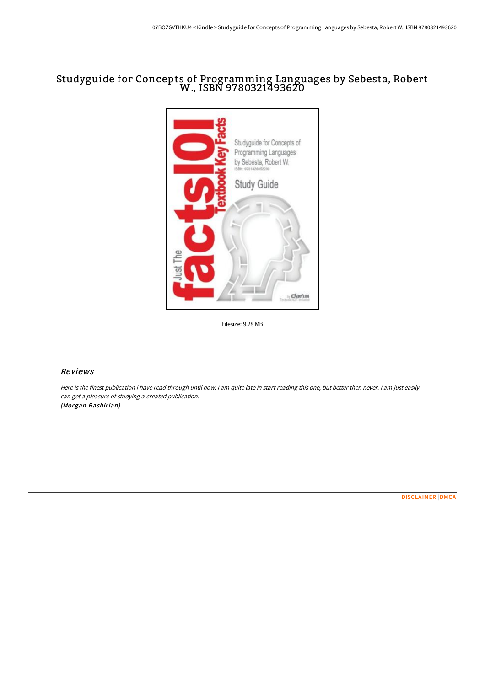## Studyguide for Concepts of Programming Languages by Sebesta, Robert W., ISBN 9780321493620



Filesize: 9.28 MB

## Reviews

Here is the finest publication i have read through until now. <sup>I</sup> am quite late in start reading this one, but better then never. <sup>I</sup> am just easily can get <sup>a</sup> pleasure of studying <sup>a</sup> created publication. (Morgan Bashirian)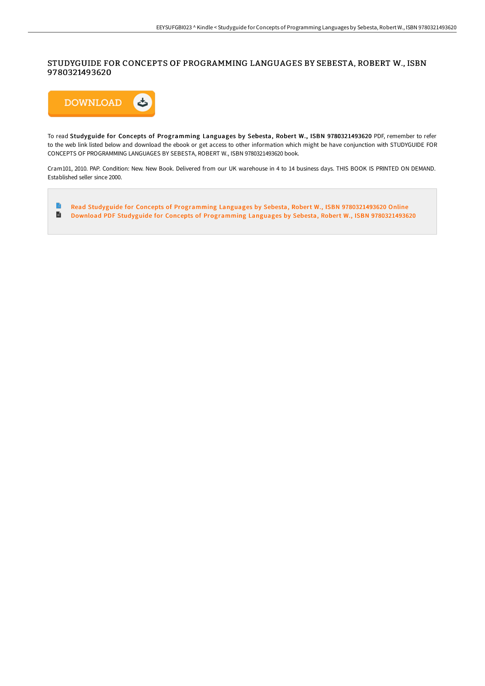## STUDYGUIDE FOR CONCEPTS OF PROGRAMMING LANGUAGES BY SEBESTA, ROBERT W., ISBN 9780321493620



To read Studyguide for Concepts of Programming Languages by Sebesta, Robert W., ISBN 9780321493620 PDF, remember to refer to the web link listed below and download the ebook or get access to other information which might be have conjunction with STUDYGUIDE FOR CONCEPTS OF PROGRAMMING LANGUAGES BY SEBESTA, ROBERT W., ISBN 9780321493620 book.

Cram101, 2010. PAP. Condition: New. New Book. Delivered from our UK warehouse in 4 to 14 business days. THIS BOOK IS PRINTED ON DEMAND. Established seller since 2000.

B Read Studyguide for Concepts of Programming Languages by Sebesta, Robert W., ISBN [9780321493620](http://www.bookdirs.com/studyguide-for-concepts-of-programming-languages.html) Online E Download PDF Studyguide for Concepts of Programming Languages by Sebesta, Robert W., ISBN [9780321493620](http://www.bookdirs.com/studyguide-for-concepts-of-programming-languages.html)